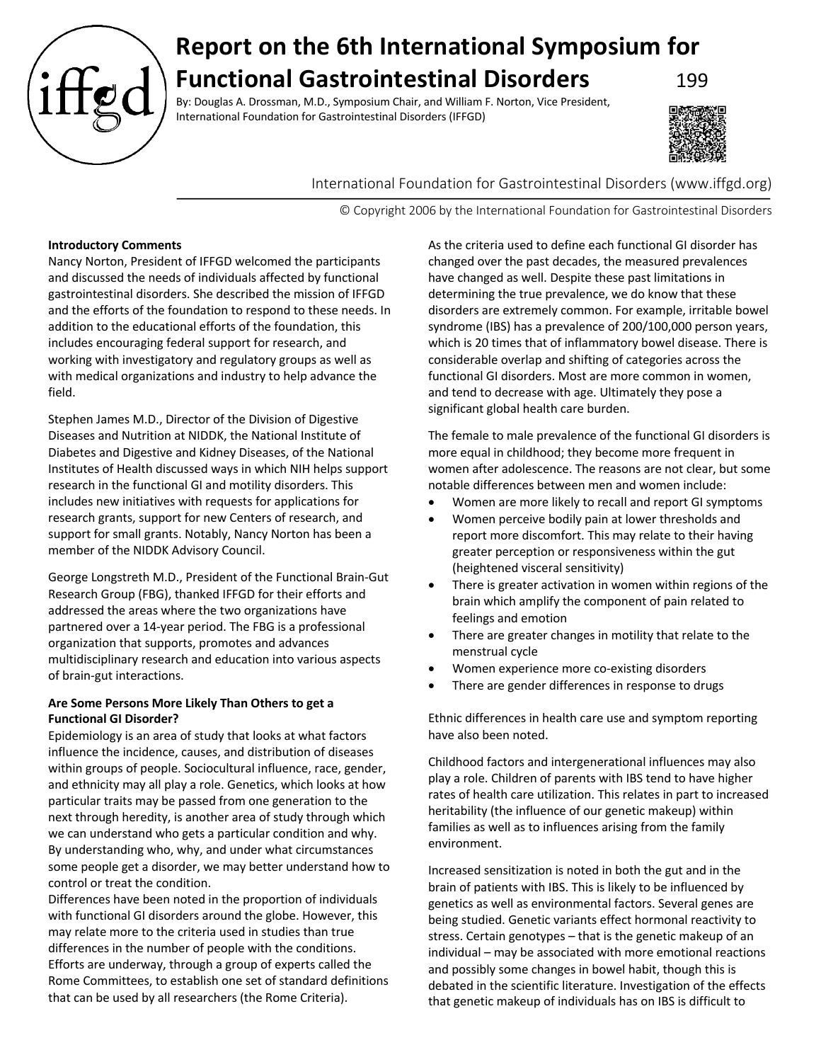

# **Report on the 6th International Symposium for Functional Gastrointestinal Disorders** 199

By: Douglas A. Drossman, M.D., Symposium Chair, and William F. Norton, Vice President, International Foundation for Gastrointestinal Disorders (IFFGD)



International Foundation for Gastrointestinal Disorders (www.iffgd.org)

© Copyright 2006 by the International Foundation for Gastrointestinal Disorders

# **Introductory Comments**

Nancy Norton, President of IFFGD welcomed the participants and discussed the needs of individuals affected by functional gastrointestinal disorders. She described the mission of IFFGD and the efforts of the foundation to respond to these needs. In addition to the educational efforts of the foundation, this includes encouraging federal support for research, and working with investigatory and regulatory groups as well as with medical organizations and industry to help advance the field.

Stephen James M.D., Director of the Division of Digestive Diseases and Nutrition at NIDDK, the National Institute of Diabetes and Digestive and Kidney Diseases, of the National Institutes of Health discussed ways in which NIH helps support research in the functional GI and motility disorders. This includes new initiatives with requests for applications for research grants, support for new Centers of research, and support for small grants. Notably, Nancy Norton has been a member of the NIDDK Advisory Council.

George Longstreth M.D., President of the Functional Brain-Gut Research Group (FBG), thanked IFFGD for their efforts and addressed the areas where the two organizations have partnered over a 14-year period. The FBG is a professional organization that supports, promotes and advances multidisciplinary research and education into various aspects of brain-gut interactions.

# **Are Some Persons More Likely Than Others to get a Functional GI Disorder?**

Epidemiology is an area of study that looks at what factors influence the incidence, causes, and distribution of diseases within groups of people. Sociocultural influence, race, gender, and ethnicity may all play a role. Genetics, which looks at how particular traits may be passed from one generation to the next through heredity, is another area of study through which we can understand who gets a particular condition and why. By understanding who, why, and under what circumstances some people get a disorder, we may better understand how to control or treat the condition.

Differences have been noted in the proportion of individuals with functional GI disorders around the globe. However, this may relate more to the criteria used in studies than true differences in the number of people with the conditions. Efforts are underway, through a group of experts called the Rome Committees, to establish one set of standard definitions that can be used by all researchers (the Rome Criteria).

As the criteria used to define each functional GI disorder has changed over the past decades, the measured prevalences have changed as well. Despite these past limitations in determining the true prevalence, we do know that these disorders are extremely common. For example, irritable bowel syndrome (IBS) has a prevalence of 200/100,000 person years, which is 20 times that of inflammatory bowel disease. There is considerable overlap and shifting of categories across the functional GI disorders. Most are more common in women, and tend to decrease with age. Ultimately they pose a significant global health care burden.

The female to male prevalence of the functional GI disorders is more equal in childhood; they become more frequent in women after adolescence. The reasons are not clear, but some notable differences between men and women include:

- Women are more likely to recall and report GI symptoms
- Women perceive bodily pain at lower thresholds and report more discomfort. This may relate to their having greater perception or responsiveness within the gut (heightened visceral sensitivity)
- There is greater activation in women within regions of the brain which amplify the component of pain related to feelings and emotion
- There are greater changes in motility that relate to the menstrual cycle
- Women experience more co-existing disorders
- There are gender differences in response to drugs

Ethnic differences in health care use and symptom reporting have also been noted.

Childhood factors and intergenerational influences may also play a role. Children of parents with IBS tend to have higher rates of health care utilization. This relates in part to increased heritability (the influence of our genetic makeup) within families as well as to influences arising from the family environment.

Increased sensitization is noted in both the gut and in the brain of patients with IBS. This is likely to be influenced by genetics as well as environmental factors. Several genes are being studied. Genetic variants effect hormonal reactivity to stress. Certain genotypes – that is the genetic makeup of an individual – may be associated with more emotional reactions and possibly some changes in bowel habit, though this is debated in the scientific literature. Investigation of the effects that genetic makeup of individuals has on IBS is difficult to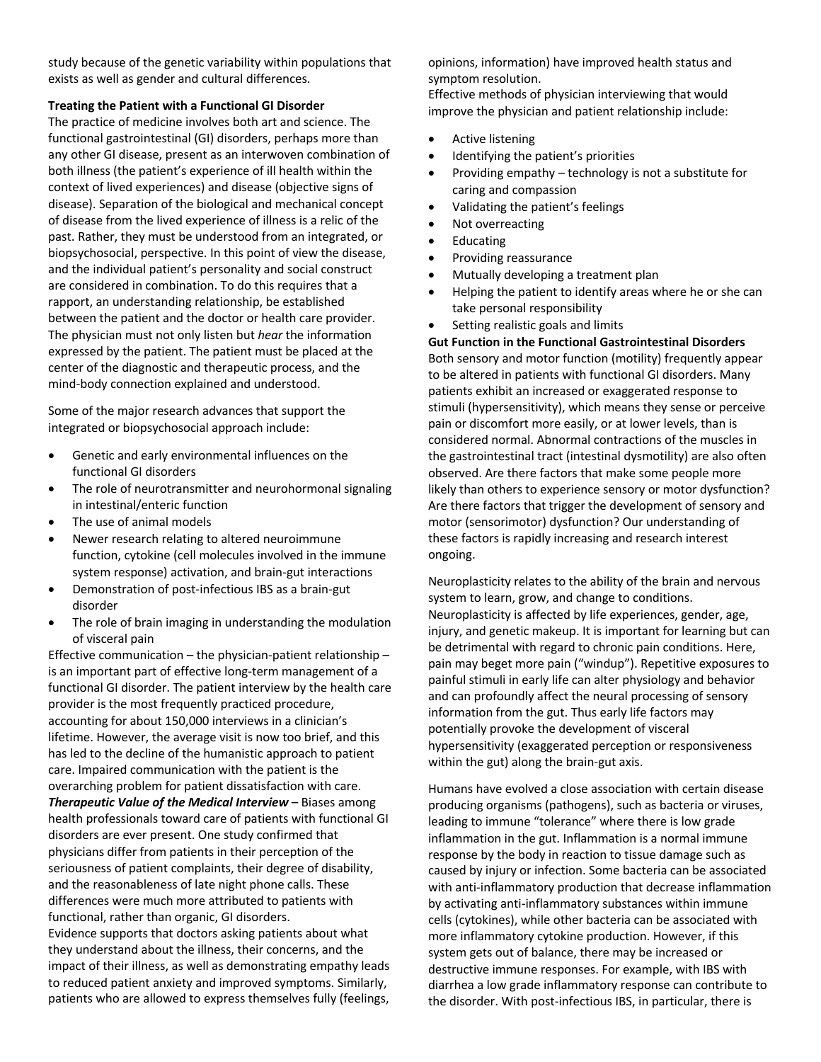study because of the genetic variability within populations that exists as well as gender and cultural differences.

#### **Treating the Patient with a Functional GI Disorder**

The practice of medicine involves both art and science. The functional gastrointestinal (GI) disorders, perhaps more than any other GI disease, present as an interwoven combination of both illness (the patient's experience of ill health within the context of lived experiences) and disease (objective signs of disease). Separation of the biological and mechanical concept of disease from the lived experience of illness is a relic of the past. Rather, they must be understood from an integrated, or biopsychosocial, perspective. In this point of view the disease, and the individual patient's personality and social construct are considered in combination. To do this requires that a rapport, an understanding relationship, be established between the patient and the doctor or health care provider. The physician must not only listen but *hear* the information expressed by the patient. The patient must be placed at the center of the diagnostic and therapeutic process, and the mind-body connection explained and understood.

Some of the major research advances that support the integrated or biopsychosocial approach include:

- Genetic and early environmental influences on the functional GI disorders
- The role of neurotransmitter and neurohormonal signaling in intestinal/enteric function
- The use of animal models
- Newer research relating to altered neuroimmune function, cytokine (cell molecules involved in the immune system response) activation, and brain-gut interactions
- Demonstration of post-infectious IBS as a brain-gut disorder
- The role of brain imaging in understanding the modulation of visceral pain

Effective communication – the physician-patient relationship – is an important part of effective long-term management of a functional GI disorder. The patient interview by the health care provider is the most frequently practiced procedure, accounting for about 150,000 interviews in a clinician's lifetime. However, the average visit is now too brief, and this has led to the decline of the humanistic approach to patient care. Impaired communication with the patient is the overarching problem for patient dissatisfaction with care. *Therapeutic Value of the Medical Interview* – Biases among health professionals toward care of patients with functional GI disorders are ever present. One study confirmed that physicians differ from patients in their perception of the seriousness of patient complaints, their degree of disability, and the reasonableness of late night phone calls. These differences were much more attributed to patients with functional, rather than organic, GI disorders.

Evidence supports that doctors asking patients about what they understand about the illness, their concerns, and the impact of their illness, as well as demonstrating empathy leads to reduced patient anxiety and improved symptoms. Similarly, patients who are allowed to express themselves fully (feelings,

opinions, information) have improved health status and symptom resolution.

Effective methods of physician interviewing that would improve the physician and patient relationship include:

- Active listening
- Identifying the patient's priorities
- Providing empathy technology is not a substitute for caring and compassion
- Validating the patient's feelings
- Not overreacting
- **Educating**
- Providing reassurance
- Mutually developing a treatment plan
- Helping the patient to identify areas where he or she can take personal responsibility
- Setting realistic goals and limits

# **Gut Function in the Functional Gastrointestinal Disorders**

Both sensory and motor function (motility) frequently appear to be altered in patients with functional GI disorders. Many patients exhibit an increased or exaggerated response to stimuli (hypersensitivity), which means they sense or perceive pain or discomfort more easily, or at lower levels, than is considered normal. Abnormal contractions of the muscles in the gastrointestinal tract (intestinal dysmotility) are also often observed. Are there factors that make some people more likely than others to experience sensory or motor dysfunction? Are there factors that trigger the development of sensory and motor (sensorimotor) dysfunction? Our understanding of these factors is rapidly increasing and research interest ongoing.

Neuroplasticity relates to the ability of the brain and nervous system to learn, grow, and change to conditions. Neuroplasticity is affected by life experiences, gender, age, injury, and genetic makeup. It is important for learning but can be detrimental with regard to chronic pain conditions. Here, pain may beget more pain ("windup"). Repetitive exposures to painful stimuli in early life can alter physiology and behavior and can profoundly affect the neural processing of sensory information from the gut. Thus early life factors may potentially provoke the development of visceral hypersensitivity (exaggerated perception or responsiveness within the gut) along the brain-gut axis.

Humans have evolved a close association with certain disease producing organisms (pathogens), such as bacteria or viruses, leading to immune "tolerance" where there is low grade inflammation in the gut. Inflammation is a normal immune response by the body in reaction to tissue damage such as caused by injury or infection. Some bacteria can be associated with anti-inflammatory production that decrease inflammation by activating anti-inflammatory substances within immune cells (cytokines), while other bacteria can be associated with more inflammatory cytokine production. However, if this system gets out of balance, there may be increased or destructive immune responses. For example, with IBS with diarrhea a low grade inflammatory response can contribute to the disorder. With post-infectious IBS, in particular, there is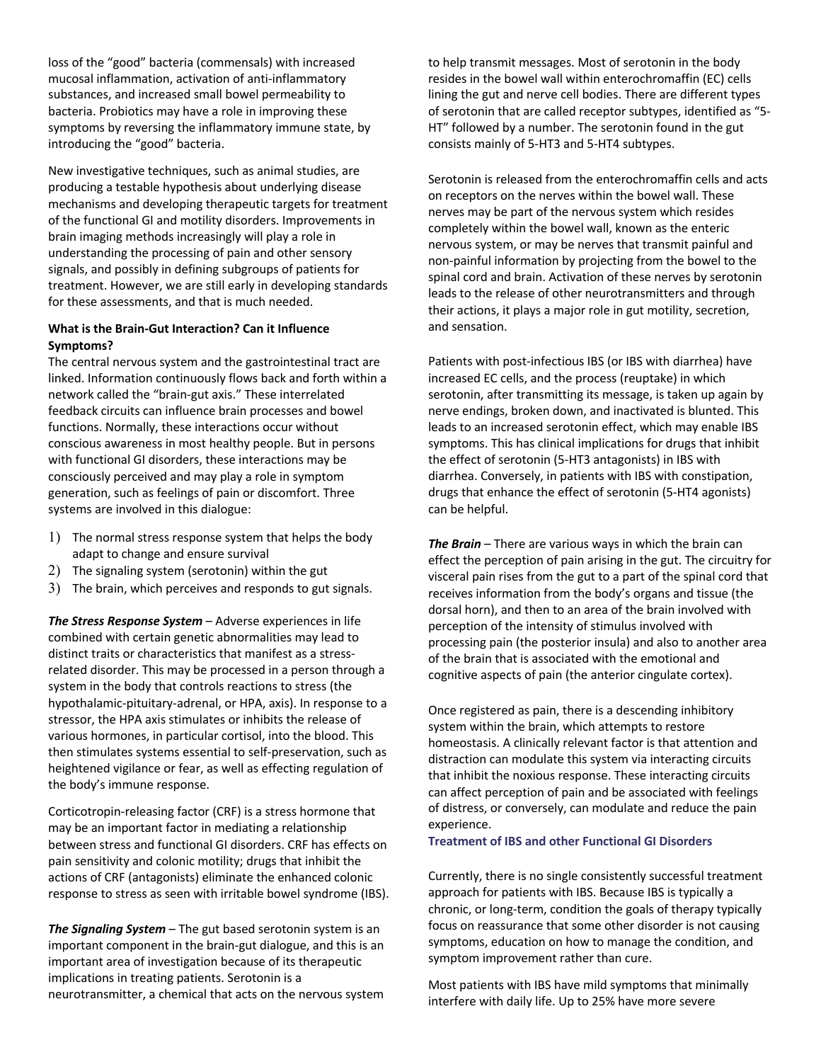loss of the "good" bacteria (commensals) with increased mucosal inflammation, activation of anti-inflammatory substances, and increased small bowel permeability to bacteria. Probiotics may have a role in improving these symptoms by reversing the inflammatory immune state, by introducing the "good" bacteria.

New investigative techniques, such as animal studies, are producing a testable hypothesis about underlying disease mechanisms and developing therapeutic targets for treatment of the functional GI and motility disorders. Improvements in brain imaging methods increasingly will play a role in understanding the processing of pain and other sensory signals, and possibly in defining subgroups of patients for treatment. However, we are still early in developing standards for these assessments, and that is much needed.

# **What is the Brain-Gut Interaction? Can it Influence Symptoms?**

The central nervous system and the gastrointestinal tract are linked. Information continuously flows back and forth within a network called the "brain-gut axis." These interrelated feedback circuits can influence brain processes and bowel functions. Normally, these interactions occur without conscious awareness in most healthy people. But in persons with functional GI disorders, these interactions may be consciously perceived and may play a role in symptom generation, such as feelings of pain or discomfort. Three systems are involved in this dialogue:

- 1) The normal stress response system that helps the body adapt to change and ensure survival
- 2) The signaling system (serotonin) within the gut
- 3) The brain, which perceives and responds to gut signals.

*The Stress Response System* – Adverse experiences in life combined with certain genetic abnormalities may lead to distinct traits or characteristics that manifest as a stressrelated disorder. This may be processed in a person through a system in the body that controls reactions to stress (the hypothalamic-pituitary-adrenal, or HPA, axis). In response to a stressor, the HPA axis stimulates or inhibits the release of various hormones, in particular cortisol, into the blood. This then stimulates systems essential to self-preservation, such as heightened vigilance or fear, as well as effecting regulation of the body's immune response.

Corticotropin-releasing factor (CRF) is a stress hormone that may be an important factor in mediating a relationship between stress and functional GI disorders. CRF has effects on pain sensitivity and colonic motility; drugs that inhibit the actions of CRF (antagonists) eliminate the enhanced colonic response to stress as seen with irritable bowel syndrome (IBS).

*The Signaling System* – The gut based serotonin system is an important component in the brain-gut dialogue, and this is an important area of investigation because of its therapeutic implications in treating patients. Serotonin is a neurotransmitter, a chemical that acts on the nervous system to help transmit messages. Most of serotonin in the body resides in the bowel wall within enterochromaffin (EC) cells lining the gut and nerve cell bodies. There are different types of serotonin that are called receptor subtypes, identified as "5- HT" followed by a number. The serotonin found in the gut consists mainly of 5-HT3 and 5-HT4 subtypes.

Serotonin is released from the enterochromaffin cells and acts on receptors on the nerves within the bowel wall. These nerves may be part of the nervous system which resides completely within the bowel wall, known as the enteric nervous system, or may be nerves that transmit painful and non-painful information by projecting from the bowel to the spinal cord and brain. Activation of these nerves by serotonin leads to the release of other neurotransmitters and through their actions, it plays a major role in gut motility, secretion, and sensation.

Patients with post-infectious IBS (or IBS with diarrhea) have increased EC cells, and the process (reuptake) in which serotonin, after transmitting its message, is taken up again by nerve endings, broken down, and inactivated is blunted. This leads to an increased serotonin effect, which may enable IBS symptoms. This has clinical implications for drugs that inhibit the effect of serotonin (5-HT3 antagonists) in IBS with diarrhea. Conversely, in patients with IBS with constipation, drugs that enhance the effect of serotonin (5-HT4 agonists) can be helpful.

*The Brain* – There are various ways in which the brain can effect the perception of pain arising in the gut. The circuitry for visceral pain rises from the gut to a part of the spinal cord that receives information from the body's organs and tissue (the dorsal horn), and then to an area of the brain involved with perception of the intensity of stimulus involved with processing pain (the posterior insula) and also to another area of the brain that is associated with the emotional and cognitive aspects of pain (the anterior cingulate cortex).

Once registered as pain, there is a descending inhibitory system within the brain, which attempts to restore homeostasis. A clinically relevant factor is that attention and distraction can modulate this system via interacting circuits that inhibit the noxious response. These interacting circuits can affect perception of pain and be associated with feelings of distress, or conversely, can modulate and reduce the pain experience.

#### **Treatment of IBS and other Functional GI Disorders**

Currently, there is no single consistently successful treatment approach for patients with IBS. Because IBS is typically a chronic, or long-term, condition the goals of therapy typically focus on reassurance that some other disorder is not causing symptoms, education on how to manage the condition, and symptom improvement rather than cure.

Most patients with IBS have mild symptoms that minimally interfere with daily life. Up to 25% have more severe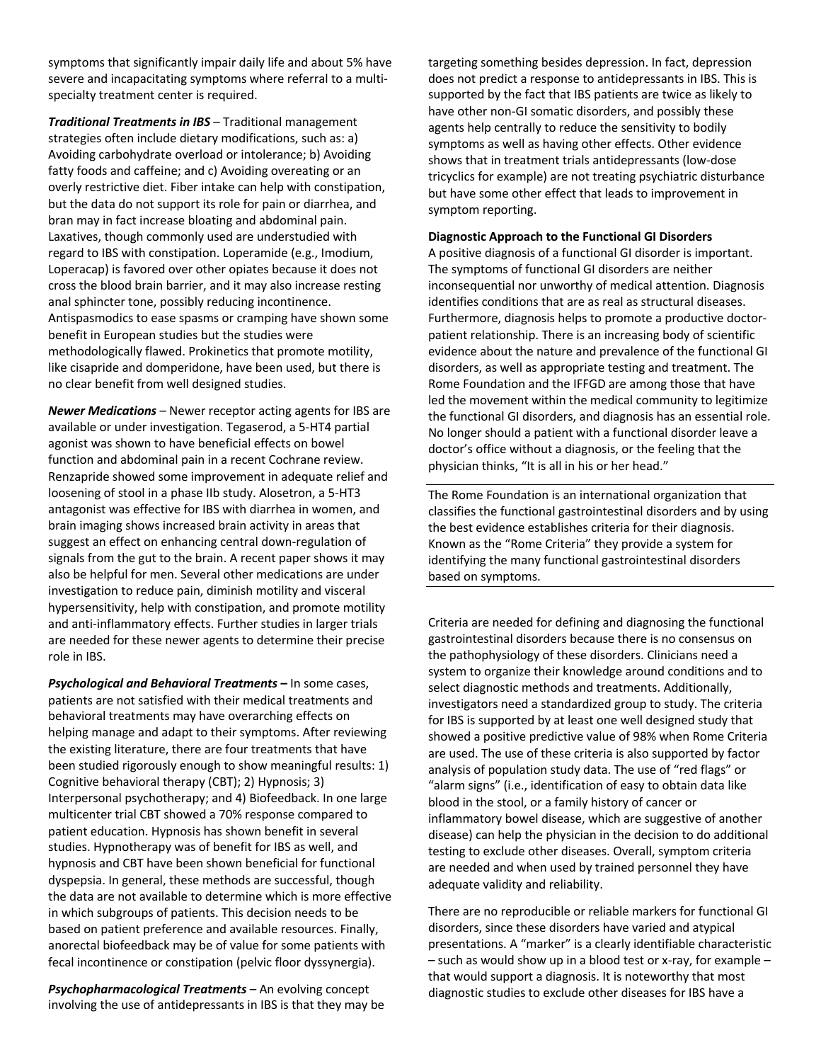symptoms that significantly impair daily life and about 5% have severe and incapacitating symptoms where referral to a multispecialty treatment center is required.

*Traditional Treatments in IBS* – Traditional management strategies often include dietary modifications, such as: a) Avoiding carbohydrate overload or intolerance; b) Avoiding fatty foods and caffeine; and c) Avoiding overeating or an overly restrictive diet. Fiber intake can help with constipation, but the data do not support its role for pain or diarrhea, and bran may in fact increase bloating and abdominal pain. Laxatives, though commonly used are understudied with regard to IBS with constipation. Loperamide (e.g., Imodium, Loperacap) is favored over other opiates because it does not cross the blood brain barrier, and it may also increase resting anal sphincter tone, possibly reducing incontinence. Antispasmodics to ease spasms or cramping have shown some benefit in European studies but the studies were methodologically flawed. Prokinetics that promote motility, like cisapride and domperidone, have been used, but there is no clear benefit from well designed studies.

*Newer Medications* – Newer receptor acting agents for IBS are available or under investigation. Tegaserod, a 5-HT4 partial agonist was shown to have beneficial effects on bowel function and abdominal pain in a recent Cochrane review. Renzapride showed some improvement in adequate relief and loosening of stool in a phase IIb study. Alosetron, a 5-HT3 antagonist was effective for IBS with diarrhea in women, and brain imaging shows increased brain activity in areas that suggest an effect on enhancing central down-regulation of signals from the gut to the brain. A recent paper shows it may also be helpful for men. Several other medications are under investigation to reduce pain, diminish motility and visceral hypersensitivity, help with constipation, and promote motility and anti-inflammatory effects. Further studies in larger trials are needed for these newer agents to determine their precise role in IBS.

*Psychological and Behavioral Treatments –* In some cases, patients are not satisfied with their medical treatments and behavioral treatments may have overarching effects on helping manage and adapt to their symptoms. After reviewing the existing literature, there are four treatments that have been studied rigorously enough to show meaningful results: 1) Cognitive behavioral therapy (CBT); 2) Hypnosis; 3) Interpersonal psychotherapy; and 4) Biofeedback. In one large multicenter trial CBT showed a 70% response compared to patient education. Hypnosis has shown benefit in several studies. Hypnotherapy was of benefit for IBS as well, and hypnosis and CBT have been shown beneficial for functional dyspepsia. In general, these methods are successful, though the data are not available to determine which is more effective in which subgroups of patients. This decision needs to be based on patient preference and available resources. Finally, anorectal biofeedback may be of value for some patients with fecal incontinence or constipation (pelvic floor dyssynergia).

*Psychopharmacological Treatments* – An evolving concept involving the use of antidepressants in IBS is that they may be targeting something besides depression. In fact, depression does not predict a response to antidepressants in IBS. This is supported by the fact that IBS patients are twice as likely to have other non-GI somatic disorders, and possibly these agents help centrally to reduce the sensitivity to bodily symptoms as well as having other effects. Other evidence shows that in treatment trials antidepressants (low-dose tricyclics for example) are not treating psychiatric disturbance but have some other effect that leads to improvement in symptom reporting.

#### **Diagnostic Approach to the Functional GI Disorders**

A positive diagnosis of a functional GI disorder is important. The symptoms of functional GI disorders are neither inconsequential nor unworthy of medical attention. Diagnosis identifies conditions that are as real as structural diseases. Furthermore, diagnosis helps to promote a productive doctorpatient relationship. There is an increasing body of scientific evidence about the nature and prevalence of the functional GI disorders, as well as appropriate testing and treatment. The Rome Foundation and the IFFGD are among those that have led the movement within the medical community to legitimize the functional GI disorders, and diagnosis has an essential role. No longer should a patient with a functional disorder leave a doctor's office without a diagnosis, or the feeling that the physician thinks, "It is all in his or her head."

The Rome Foundation is an international organization that classifies the functional gastrointestinal disorders and by using the best evidence establishes criteria for their diagnosis. Known as the "Rome Criteria" they provide a system for identifying the many functional gastrointestinal disorders based on symptoms.

Criteria are needed for defining and diagnosing the functional gastrointestinal disorders because there is no consensus on the pathophysiology of these disorders. Clinicians need a system to organize their knowledge around conditions and to select diagnostic methods and treatments. Additionally, investigators need a standardized group to study. The criteria for IBS is supported by at least one well designed study that showed a positive predictive value of 98% when Rome Criteria are used. The use of these criteria is also supported by factor analysis of population study data. The use of "red flags" or "alarm signs" (i.e., identification of easy to obtain data like blood in the stool, or a family history of cancer or inflammatory bowel disease, which are suggestive of another disease) can help the physician in the decision to do additional testing to exclude other diseases. Overall, symptom criteria are needed and when used by trained personnel they have adequate validity and reliability.

There are no reproducible or reliable markers for functional GI disorders, since these disorders have varied and atypical presentations. A "marker" is a clearly identifiable characteristic – such as would show up in a blood test or x-ray, for example – that would support a diagnosis. It is noteworthy that most diagnostic studies to exclude other diseases for IBS have a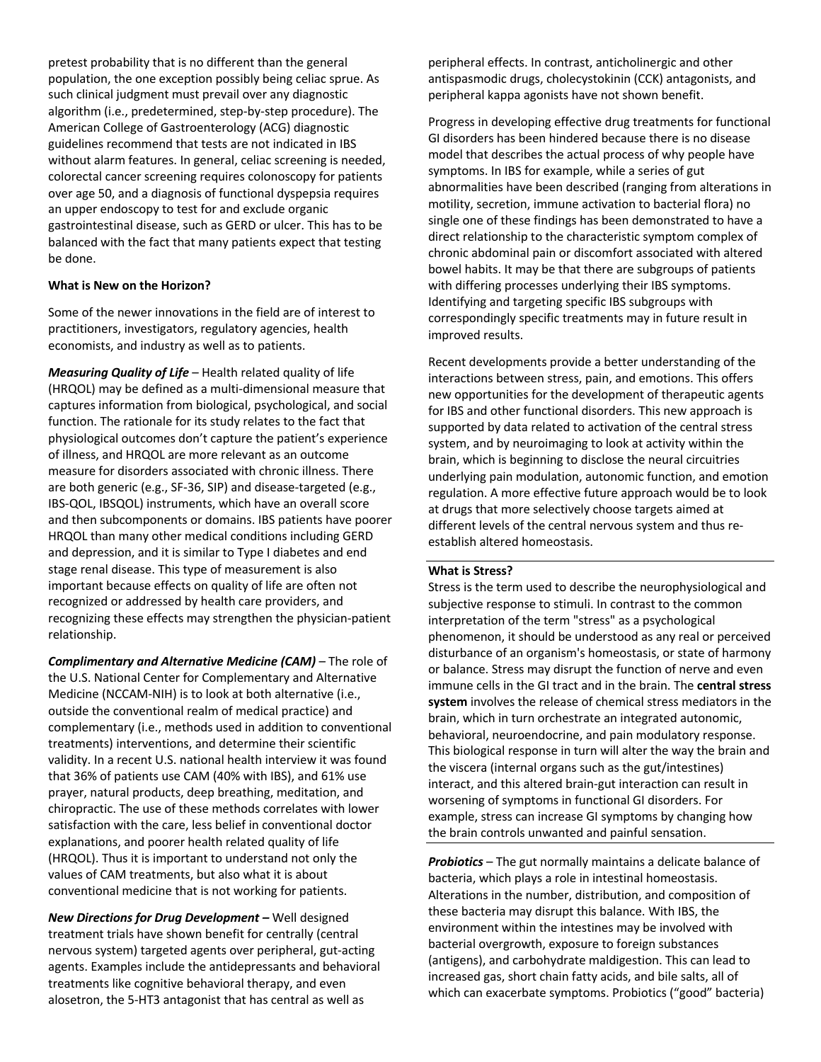pretest probability that is no different than the general population, the one exception possibly being celiac sprue. As such clinical judgment must prevail over any diagnostic algorithm (i.e., predetermined, step-by-step procedure). The American College of Gastroenterology (ACG) diagnostic guidelines recommend that tests are not indicated in IBS without alarm features. In general, celiac screening is needed, colorectal cancer screening requires colonoscopy for patients over age 50, and a diagnosis of functional dyspepsia requires an upper endoscopy to test for and exclude organic gastrointestinal disease, such as GERD or ulcer. This has to be balanced with the fact that many patients expect that testing be done.

## **What is New on the Horizon?**

Some of the newer innovations in the field are of interest to practitioners, investigators, regulatory agencies, health economists, and industry as well as to patients.

*Measuring Quality of Life* – Health related quality of life (HRQOL) may be defined as a multi-dimensional measure that captures information from biological, psychological, and social function. The rationale for its study relates to the fact that physiological outcomes don't capture the patient's experience of illness, and HRQOL are more relevant as an outcome measure for disorders associated with chronic illness. There are both generic (e.g., SF-36, SIP) and disease-targeted (e.g., IBS-QOL, IBSQOL) instruments, which have an overall score and then subcomponents or domains. IBS patients have poorer HRQOL than many other medical conditions including GERD and depression, and it is similar to Type I diabetes and end stage renal disease. This type of measurement is also important because effects on quality of life are often not recognized or addressed by health care providers, and recognizing these effects may strengthen the physician-patient relationship.

*Complimentary and Alternative Medicine (CAM)* – The role of the U.S. National Center for Complementary and Alternative Medicine (NCCAM-NIH) is to look at both alternative (i.e., outside the conventional realm of medical practice) and complementary (i.e., methods used in addition to conventional treatments) interventions, and determine their scientific validity. In a recent U.S. national health interview it was found that 36% of patients use CAM (40% with IBS), and 61% use prayer, natural products, deep breathing, meditation, and chiropractic. The use of these methods correlates with lower satisfaction with the care, less belief in conventional doctor explanations, and poorer health related quality of life (HRQOL). Thus it is important to understand not only the values of CAM treatments, but also what it is about conventional medicine that is not working for patients.

*New Directions for Drug Development –* Well designed treatment trials have shown benefit for centrally (central nervous system) targeted agents over peripheral, gut-acting agents. Examples include the antidepressants and behavioral treatments like cognitive behavioral therapy, and even alosetron, the 5-HT3 antagonist that has central as well as

peripheral effects. In contrast, anticholinergic and other antispasmodic drugs, cholecystokinin (CCK) antagonists, and peripheral kappa agonists have not shown benefit.

Progress in developing effective drug treatments for functional GI disorders has been hindered because there is no disease model that describes the actual process of why people have symptoms. In IBS for example, while a series of gut abnormalities have been described (ranging from alterations in motility, secretion, immune activation to bacterial flora) no single one of these findings has been demonstrated to have a direct relationship to the characteristic symptom complex of chronic abdominal pain or discomfort associated with altered bowel habits. It may be that there are subgroups of patients with differing processes underlying their IBS symptoms. Identifying and targeting specific IBS subgroups with correspondingly specific treatments may in future result in improved results.

Recent developments provide a better understanding of the interactions between stress, pain, and emotions. This offers new opportunities for the development of therapeutic agents for IBS and other functional disorders. This new approach is supported by data related to activation of the central stress system, and by neuroimaging to look at activity within the brain, which is beginning to disclose the neural circuitries underlying pain modulation, autonomic function, and emotion regulation. A more effective future approach would be to look at drugs that more selectively choose targets aimed at different levels of the central nervous system and thus reestablish altered homeostasis.

#### **What is Stress?**

Stress is the term used to describe the neurophysiological and subjective response to stimuli. In contrast to the common interpretation of the term "stress" as a psychological phenomenon, it should be understood as any real or perceived disturbance of an organism's homeostasis, or state of harmony or balance. Stress may disrupt the function of nerve and even immune cells in the GI tract and in the brain. The **central stress system** involves the release of chemical stress mediators in the brain, which in turn orchestrate an integrated autonomic, behavioral, neuroendocrine, and pain modulatory response. This biological response in turn will alter the way the brain and the viscera (internal organs such as the gut/intestines) interact, and this altered brain-gut interaction can result in worsening of symptoms in functional GI disorders. For example, stress can increase GI symptoms by changing how the brain controls unwanted and painful sensation.

*Probiotics* – The gut normally maintains a delicate balance of bacteria, which plays a role in intestinal homeostasis. Alterations in the number, distribution, and composition of these bacteria may disrupt this balance. With IBS, the environment within the intestines may be involved with bacterial overgrowth, exposure to foreign substances (antigens), and carbohydrate maldigestion. This can lead to increased gas, short chain fatty acids, and bile salts, all of which can exacerbate symptoms. Probiotics ("good" bacteria)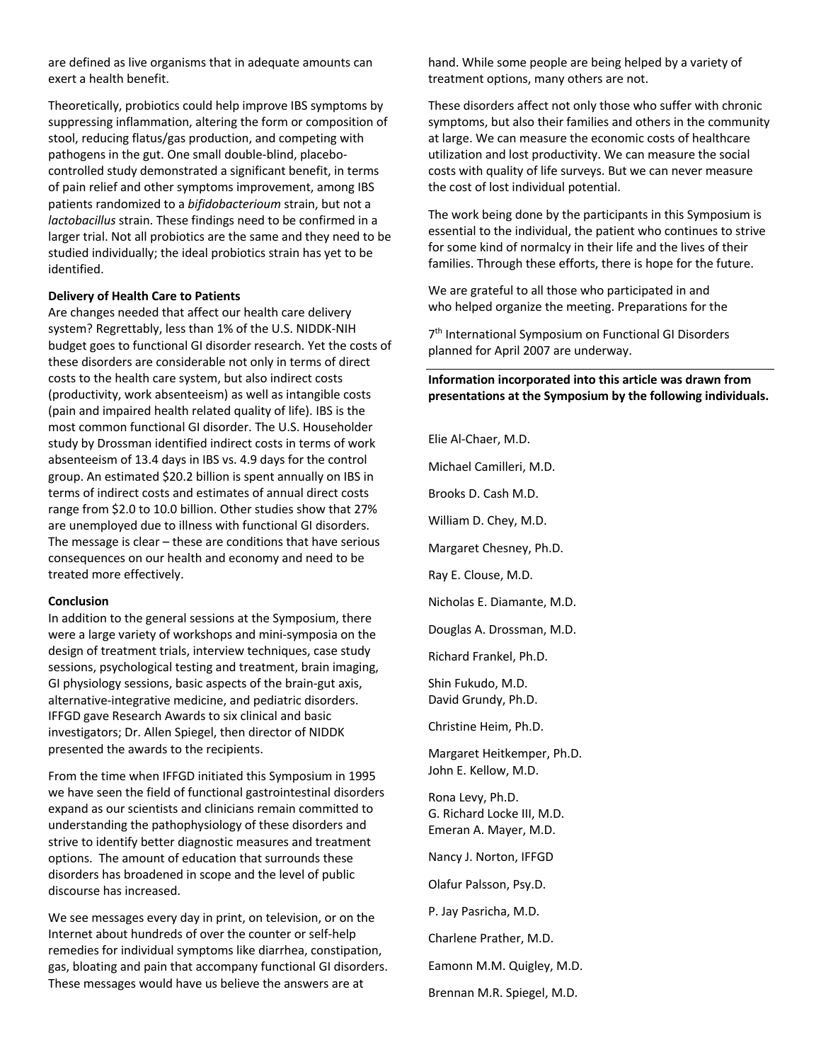are defined as live organisms that in adequate amounts can exert a health benefit.

Theoretically, probiotics could help improve IBS symptoms by suppressing inflammation, altering the form or composition of stool, reducing flatus/gas production, and competing with pathogens in the gut. One small double-blind, placebocontrolled study demonstrated a significant benefit, in terms of pain relief and other symptoms improvement, among IBS patients randomized to a *bifidobacterioum* strain, but not a *lactobacillus* strain. These findings need to be confirmed in a larger trial. Not all probiotics are the same and they need to be studied individually; the ideal probiotics strain has yet to be identified.

#### **Delivery of Health Care to Patients**

Are changes needed that affect our health care delivery system? Regrettably, less than 1% of the U.S. NIDDK-NIH budget goes to functional GI disorder research. Yet the costs of these disorders are considerable not only in terms of direct costs to the health care system, but also indirect costs (productivity, work absenteeism) as well as intangible costs (pain and impaired health related quality of life). IBS is the most common functional GI disorder. The U.S. Householder study by Drossman identified indirect costs in terms of work absenteeism of 13.4 days in IBS vs. 4.9 days for the control group. An estimated \$20.2 billion is spent annually on IBS in terms of indirect costs and estimates of annual direct costs range from \$2.0 to 10.0 billion. Other studies show that 27% are unemployed due to illness with functional GI disorders. The message is clear – these are conditions that have serious consequences on our health and economy and need to be treated more effectively.

#### **Conclusion**

In addition to the general sessions at the Symposium, there were a large variety of workshops and mini-symposia on the design of treatment trials, interview techniques, case study sessions, psychological testing and treatment, brain imaging, GI physiology sessions, basic aspects of the brain-gut axis, alternative-integrative medicine, and pediatric disorders. IFFGD gave Research Awards to six clinical and basic investigators; Dr. Allen Spiegel, then director of NIDDK presented the awards to the recipients.

From the time when IFFGD initiated this Symposium in 1995 we have seen the field of functional gastrointestinal disorders expand as our scientists and clinicians remain committed to understanding the pathophysiology of these disorders and strive to identify better diagnostic measures and treatment options. The amount of education that surrounds these disorders has broadened in scope and the level of public discourse has increased.

We see messages every day in print, on television, or on the Internet about hundreds of over the counter or self-help remedies for individual symptoms like diarrhea, constipation, gas, bloating and pain that accompany functional GI disorders. These messages would have us believe the answers are at

hand. While some people are being helped by a variety of treatment options, many others are not.

These disorders affect not only those who suffer with chronic symptoms, but also their families and others in the community at large. We can measure the economic costs of healthcare utilization and lost productivity. We can measure the social costs with quality of life surveys. But we can never measure the cost of lost individual potential.

The work being done by the participants in this Symposium is essential to the individual, the patient who continues to strive for some kind of normalcy in their life and the lives of their families. Through these efforts, there is hope for the future.

We are grateful to all those who participated in and who helped organize the meeting. Preparations for the

7<sup>th</sup> International Symposium on Functional GI Disorders planned for April 2007 are underway.

## **Information incorporated into this article was drawn from presentations at the Symposium by the following individuals.**

Elie Al-Chaer, M.D. Michael Camilleri, M.D. Brooks D. Cash M.D. William D. Chey, M.D. Margaret Chesney, Ph.D. Ray E. Clouse, M.D. Nicholas E. Diamante, M.D. Douglas A. Drossman, M.D. Richard Frankel, Ph.D. Shin Fukudo, M.D. David Grundy, Ph.D. Christine Heim, Ph.D. Margaret Heitkemper, Ph.D. John E. Kellow, M.D. Rona Levy, Ph.D. G. Richard Locke III, M.D. Emeran A. Mayer, M.D. Nancy J. Norton, IFFGD Olafur Palsson, Psy.D. P. Jay Pasricha, M.D. Charlene Prather, M.D. Eamonn M.M. Quigley, M.D. Brennan M.R. Spiegel, M.D.